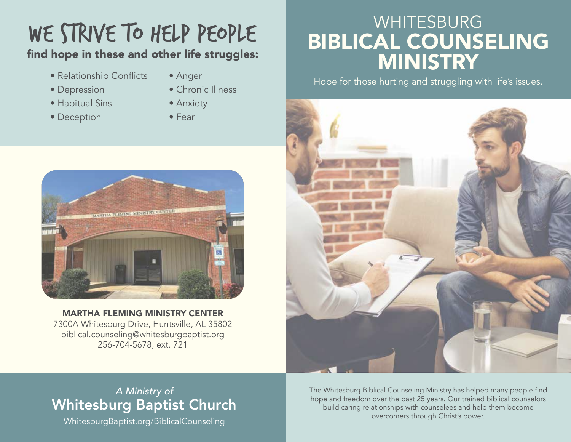# WE STRIVE TO HELP PEOPLE

#### find hope in these and other life struggles:

- Relationship Conflicts
- Anger

• Chronic Illness

- Depression
- Habitual Sins
- Deception
- Anxiety
- Fear



MARTHA FLEMING MINISTRY CENTER 7300A Whitesburg Drive, Huntsville, AL 35802 biblical.counseling@whitesburgbaptist.org 256-704-5678, ext. 721

### WHITESBURG BIBLICAL COUNSELING **MINISTRY**

Hope for those hurting and struggling with life's issues.



#### *A Ministry of* Whitesburg Baptist Church

WhitesburgBaptist.org/BiblicalCounseling

The Whitesburg Biblical Counseling Ministry has helped many people find hope and freedom over the past 25 years. Our trained biblical counselors build caring relationships with counselees and help them become overcomers through Christ's power.